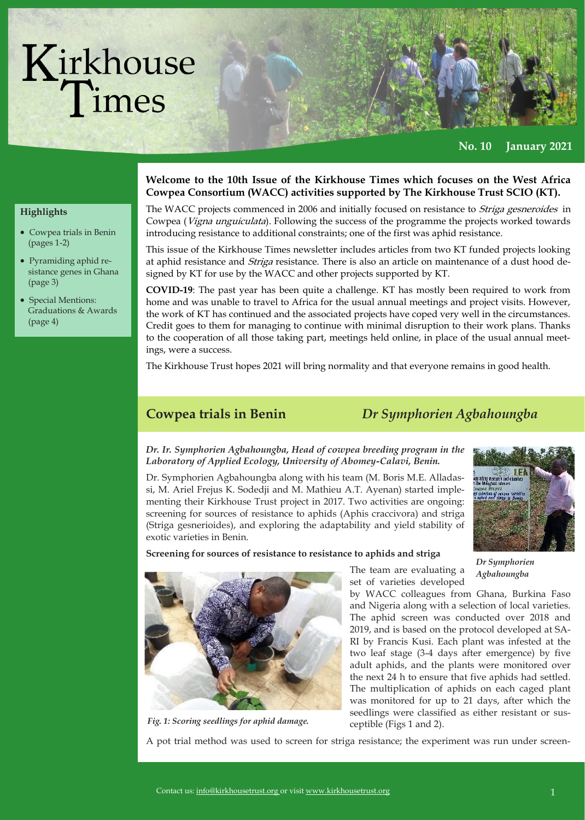# Kirkhouse<br>Times

**No. 10 January 2021**

# **Welcome to the 10th Issue of the Kirkhouse Times which focuses on the West Africa**

#### **Highlights**

- Cowpea trials in Benin (pages 1-2)
- Pyramiding aphid resistance genes in Ghana (page 3)
- Special Mentions: Graduations & Awards (page 4)

## **Cowpea Consortium (WACC) activities supported by The Kirkhouse Trust SCIO (KT).**

The WACC projects commenced in 2006 and initially focused on resistance to *Striga gesneroides* in Cowpea (Vigna unguiculata). Following the success of the programme the projects worked towards introducing resistance to additional constraints; one of the first was aphid resistance.

This issue of the Kirkhouse Times newsletter includes articles from two KT funded projects looking at aphid resistance and *Striga* resistance. There is also an article on maintenance of a dust hood designed by KT for use by the WACC and other projects supported by KT.

**COVID-19**: The past year has been quite a challenge. KT has mostly been required to work from home and was unable to travel to Africa for the usual annual meetings and project visits. However, the work of KT has continued and the associated projects have coped very well in the circumstances. Credit goes to them for managing to continue with minimal disruption to their work plans. Thanks to the cooperation of all those taking part, meetings held online, in place of the usual annual meetings, were a success.

The Kirkhouse Trust hopes 2021 will bring normality and that everyone remains in good health.

**Cowpea trials in Benin** *Dr Symphorien Agbahoungba*

#### *Dr. Ir. Symphorien Agbahoungba, Head of cowpea breeding program in the Laboratory of Applied Ecology, University of Abomey-Calavi, Benin.*

Dr. Symphorien Agbahoungba along with his team (M. Boris M.E. Alladassi, M. Ariel Frejus K. Sodedji and M. Mathieu A.T. Ayenan) started implementing their Kirkhouse Trust project in 2017. Two activities are ongoing: screening for sources of resistance to aphids (Aphis craccivora) and striga (Striga gesnerioides), and exploring the adaptability and yield stability of exotic varieties in Benin.



**Screening for sources of resistance to resistance to aphids and striga** 



*Fig. 1: Scoring seedlings for aphid damage.*

The team are evaluating a set of varieties developed

*Dr Symphorien Agbahoungba*

by WACC colleagues from Ghana, Burkina Faso and Nigeria along with a selection of local varieties. The aphid screen was conducted over 2018 and 2019, and is based on the protocol developed at SA-RI by Francis Kusi. Each plant was infested at the two leaf stage (3-4 days after emergence) by five adult aphids, and the plants were monitored over the next 24 h to ensure that five aphids had settled. The multiplication of aphids on each caged plant was monitored for up to 21 days, after which the seedlings were classified as either resistant or susceptible (Figs 1 and 2).

A pot trial method was used to screen for striga resistance; the experiment was run under screen-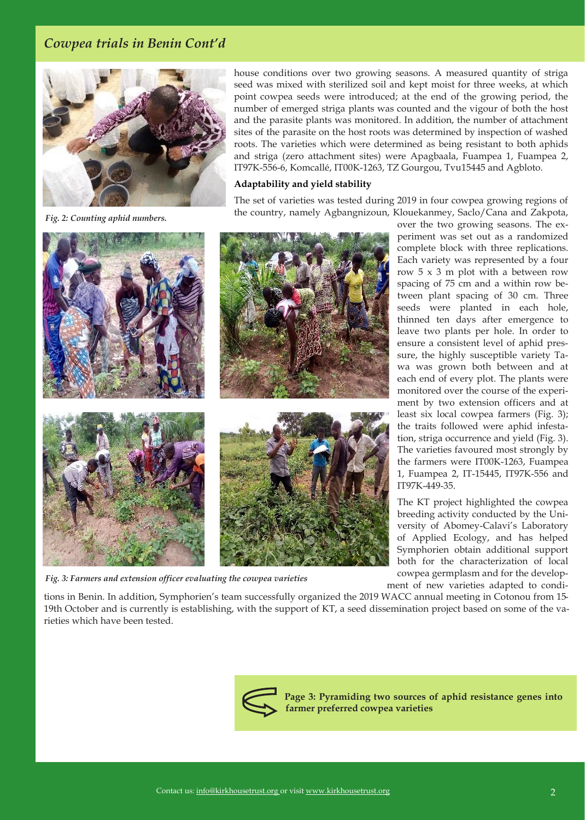#### *Cowpea trials in Benin Cont'd*



*Fig. 2: Counting aphid numbers.*

house conditions over two growing seasons. A measured quantity of striga seed was mixed with sterilized soil and kept moist for three weeks, at which point cowpea seeds were introduced; at the end of the growing period, the number of emerged striga plants was counted and the vigour of both the host and the parasite plants was monitored. In addition, the number of attachment sites of the parasite on the host roots was determined by inspection of washed roots. The varieties which were determined as being resistant to both aphids and striga (zero attachment sites) were Apagbaala, Fuampea 1, Fuampea 2, IT97K-556-6, Komcallé, IT00K-1263, TZ Gourgou, Tvu15445 and Agbloto.

#### **Adaptability and yield stability**

The set of varieties was tested during 2019 in four cowpea growing regions of the country, namely Agbangnizoun, Klouekanmey, Saclo/Cana and Zakpota,



*Fig. 3: Farmers and extension officer evaluating the cowpea varieties*

over the two growing seasons. The experiment was set out as a randomized complete block with three replications. Each variety was represented by a four row 5 x 3 m plot with a between row spacing of 75 cm and a within row between plant spacing of 30 cm. Three seeds were planted in each hole, thinned ten days after emergence to leave two plants per hole. In order to ensure a consistent level of aphid pressure, the highly susceptible variety Tawa was grown both between and at each end of every plot. The plants were monitored over the course of the experiment by two extension officers and at least six local cowpea farmers (Fig. 3); the traits followed were aphid infestation, striga occurrence and yield (Fig. 3). The varieties favoured most strongly by the farmers were IT00K-1263, Fuampea 1, Fuampea 2, IT-15445, IT97K-556 and IT97K-449-35.

The KT project highlighted the cowpea breeding activity conducted by the University of Abomey-Calavi's Laboratory of Applied Ecology, and has helped Symphorien obtain additional support both for the characterization of local cowpea germplasm and for the development of new varieties adapted to condi-

tions in Benin. In addition, Symphorien's team successfully organized the 2019 WACC annual meeting in Cotonou from 15- 19th October and is currently is establishing, with the support of KT, a seed dissemination project based on some of the varieties which have been tested.



**Page 3: Pyramiding two sources of aphid resistance genes into farmer preferred cowpea varieties**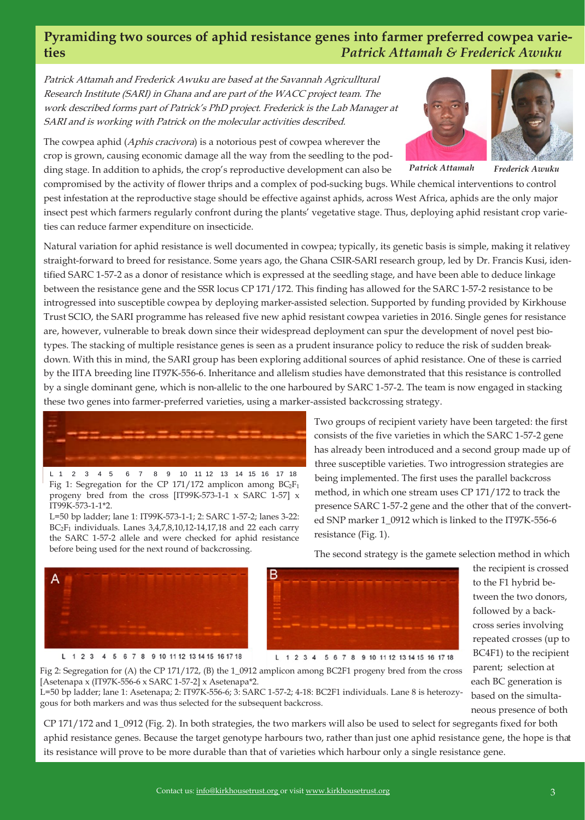#### **Pyramiding two sources of aphid resistance genes into farmer preferred cowpea varieties** *Patrick Attamah & Frederick Awuku*

Patrick Attamah and Frederick Awuku are based at the Savannah Agriculltural Research Institute (SARI) in Ghana and are part of the WACC project team. The work described forms part of Patrick's PhD project. Frederick is the Lab Manager at SARI and is working with Patrick on the molecular activities described.

The cowpea aphid (Aphis cracivora) is a notorious pest of cowpea wherever the crop is grown, causing economic damage all the way from the seedling to the podding stage. In addition to aphids, the crop's reproductive development can also be





*Frederick Awuku Patrick Attamah*

compromised by the activity of flower thrips and a complex of pod-sucking bugs. While chemical interventions to control pest infestation at the reproductive stage should be effective against aphids, across West Africa, aphids are the only major insect pest which farmers regularly confront during the plants' vegetative stage. Thus, deploying aphid resistant crop varieties can reduce farmer expenditure on insecticide.

Natural variation for aphid resistance is well documented in cowpea; typically, its genetic basis is simple, making it relativey straight-forward to breed for resistance. Some years ago, the Ghana CSIR-SARI research group, led by Dr. Francis Kusi, identified SARC 1-57-2 as a donor of resistance which is expressed at the seedling stage, and have been able to deduce linkage between the resistance gene and the SSR locus CP 171/172. This finding has allowed for the SARC 1-57-2 resistance to be introgressed into susceptible cowpea by deploying marker-assisted selection. Supported by funding provided by Kirkhouse Trust SCIO, the SARI programme has released five new aphid resistant cowpea varieties in 2016. Single genes for resistance are, however, vulnerable to break down since their widespread deployment can spur the development of novel pest biotypes. The stacking of multiple resistance genes is seen as a prudent insurance policy to reduce the risk of sudden breakdown. With this in mind, the SARI group has been exploring additional sources of aphid resistance. One of these is carried by the IITA breeding line IT97K-556-6. Inheritance and allelism studies have demonstrated that this resistance is controlled by a single dominant gene, which is non-allelic to the one harboured by SARC 1-57-2. The team is now engaged in stacking these two genes into farmer-preferred varieties, using a marker-assisted backcrossing strategy.

L 1 2 3 4 5 6 7 8 9 10 11 12 13 14 15 16 17 18 Fig 1: Segregation for the CP 171/172 amplicon among  $BC_2F_1$ progeny bred from the cross [IT99K-573-1-1 x SARC 1-57] x IT99K-573-1-1\*2.

L=50 bp ladder; lane 1: IT99K-573-1-1; 2: SARC 1-57-2; lanes 3-22:  $BC<sub>2</sub>F<sub>1</sub>$  individuals. Lanes 3,4,7,8,10,12-14,17,18 and 22 each carry the SARC 1-57-2 allele and were checked for aphid resistance before being used for the next round of backcrossing.

Two groups of recipient variety have been targeted: the first consists of the five varieties in which the SARC 1-57-2 gene has already been introduced and a second group made up of three susceptible varieties. Two introgression strategies are being implemented. The first uses the parallel backcross method, in which one stream uses CP 171/172 to track the presence SARC 1-57-2 gene and the other that of the converted SNP marker 1\_0912 which is linked to the IT97K-556-6 resistance (Fig. 1).





L 1 2 3 4 5 6 7 8 9 10 11 12 13 14 15 16 17 18



L 1 2 3 4 5 6 7 8 9 10 11 12 13 14 15 16 17 18

each BC generation is Fig 2: Segregation for (A) the CP 171/172, (B) the 1\_0912 amplicon among BC2F1 progeny bred from the cross [Asetenapa x (IT97K-556-6 x SARC 1-57-2] x Asetenapa\*2.

L=50 bp ladder; lane 1: Asetenapa; 2: IT97K-556-6; 3: SARC 1-57-2; 4-18: BC2F1 individuals. Lane 8 is heterozygous for both markers and was thus selected for the subsequent backcross.

CP 171/172 and 1\_0912 (Fig. 2). In both strategies, the two markers will also be used to select for segregants fixed for both aphid resistance genes. Because the target genotype harbours two, rather than just one aphid resistance gene, the hope is that its resistance will prove to be more durable than that of varieties which harbour only a single resistance gene.

the recipient is crossed to the F1 hybrid between the two donors, followed by a backcross series involving repeated crosses (up to BC4F1) to the recipient parent; selection at

based on the simultaneous presence of both